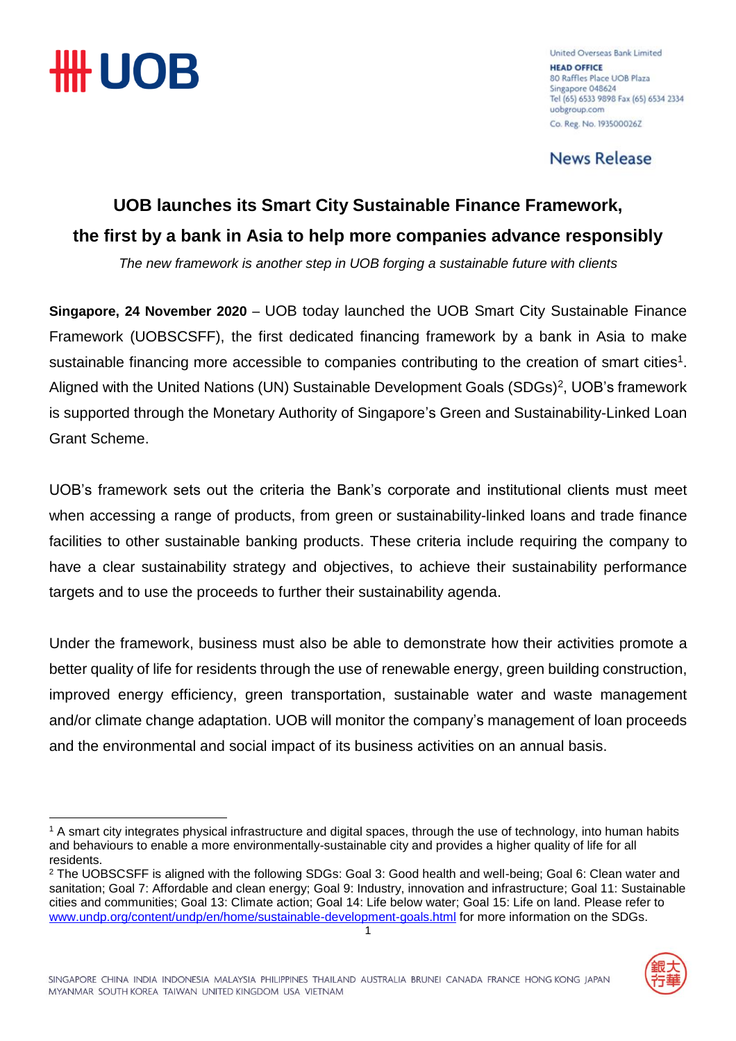

<u>.</u>

United Overseas Bank Limited **HEAD OFFICE** 80 Raffles Place UOB Plaza Singapore 048624 Tel (65) 6533 9898 Fax (65) 6534 2334 uobgroup.com Co. Reg. No. 1935000262

**News Release** 

### **UOB launches its Smart City Sustainable Finance Framework, the first by a bank in Asia to help more companies advance responsibly**

*The new framework is another step in UOB forging a sustainable future with clients*

**Singapore, 24 November 2020** – UOB today launched the UOB Smart City Sustainable Finance Framework (UOBSCSFF), the first dedicated financing framework by a bank in Asia to make sustainable financing more accessible to companies contributing to the creation of smart cities<sup>1</sup>. Aligned with the United Nations (UN) Sustainable Development Goals (SDGs)<sup>2</sup>, UOB's framework is supported through the Monetary Authority of Singapore's Green and Sustainability-Linked Loan Grant Scheme.

UOB's framework sets out the criteria the Bank's corporate and institutional clients must meet when accessing a range of products, from green or sustainability-linked loans and trade finance facilities to other sustainable banking products. These criteria include requiring the company to have a clear sustainability strategy and objectives, to achieve their sustainability performance targets and to use the proceeds to further their sustainability agenda.

Under the framework, business must also be able to demonstrate how their activities promote a better quality of life for residents through the use of renewable energy, green building construction, improved energy efficiency, green transportation, sustainable water and waste management and/or climate change adaptation. UOB will monitor the company's management of loan proceeds and the environmental and social impact of its business activities on an annual basis.

<sup>1</sup> <sup>2</sup> The UOBSCSFF is aligned with the following SDGs: Goal 3: Good health and well-being; Goal 6: Clean water and sanitation; Goal 7: Affordable and clean energy; Goal 9: Industry, innovation and infrastructure; Goal 11: Sustainable cities and communities; Goal 13: Climate action; Goal 14: Life below water; Goal 15: Life on land. Please refer to [www.undp.org/content/undp/en/home/sustainable-development-goals.html](http://www.undp.org/content/undp/en/home/sustainable-development-goals.html) for more information on the SDGs.



<sup>&</sup>lt;sup>1</sup> A smart city integrates physical infrastructure and digital spaces, through the use of technology, into human habits and behaviours to enable a more environmentally-sustainable city and provides a higher quality of life for all residents.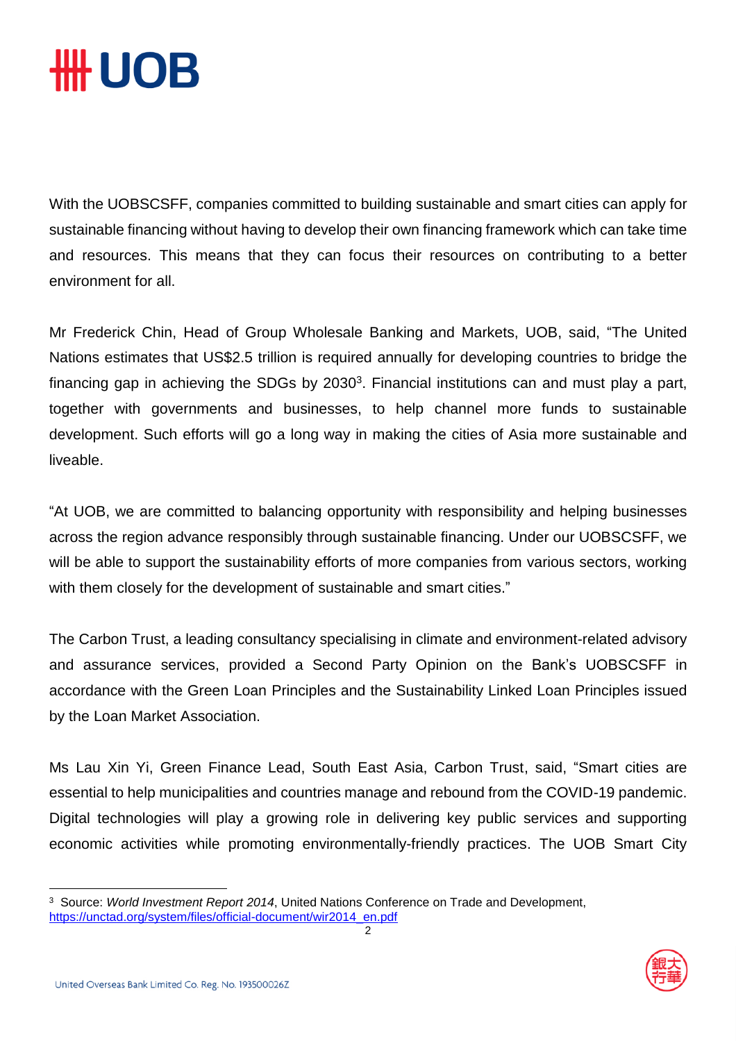# ₩ UOB

With the UOBSCSFF, companies committed to building sustainable and smart cities can apply for sustainable financing without having to develop their own financing framework which can take time and resources. This means that they can focus their resources on contributing to a better environment for all.

Mr Frederick Chin, Head of Group Wholesale Banking and Markets, UOB, said, "The United Nations estimates that US\$2.5 trillion is required annually for developing countries to bridge the financing gap in achieving the SDGs by 2030<sup>3</sup>. Financial institutions can and must play a part, together with governments and businesses, to help channel more funds to sustainable development. Such efforts will go a long way in making the cities of Asia more sustainable and liveable.

"At UOB, we are committed to balancing opportunity with responsibility and helping businesses across the region advance responsibly through sustainable financing. Under our UOBSCSFF, we will be able to support the sustainability efforts of more companies from various sectors, working with them closely for the development of sustainable and smart cities."

The Carbon Trust, a leading consultancy specialising in climate and environment-related advisory and assurance services, provided a Second Party Opinion on the Bank's UOBSCSFF in accordance with the Green Loan Principles and the Sustainability Linked Loan Principles issued by the Loan Market Association.

Ms Lau Xin Yi, Green Finance Lead, South East Asia, Carbon Trust, said, "Smart cities are essential to help municipalities and countries manage and rebound from the COVID-19 pandemic. Digital technologies will play a growing role in delivering key public services and supporting economic activities while promoting environmentally-friendly practices. The UOB Smart City



 $\overline{a}$ 



<sup>3</sup> Source: *World Investment Report 2014*, United Nations Conference on Trade and Development, [https://unctad.org/system/files/official-document/wir2014\\_en.pdf](https://unctad.org/system/files/official-document/wir2014_en.pdf)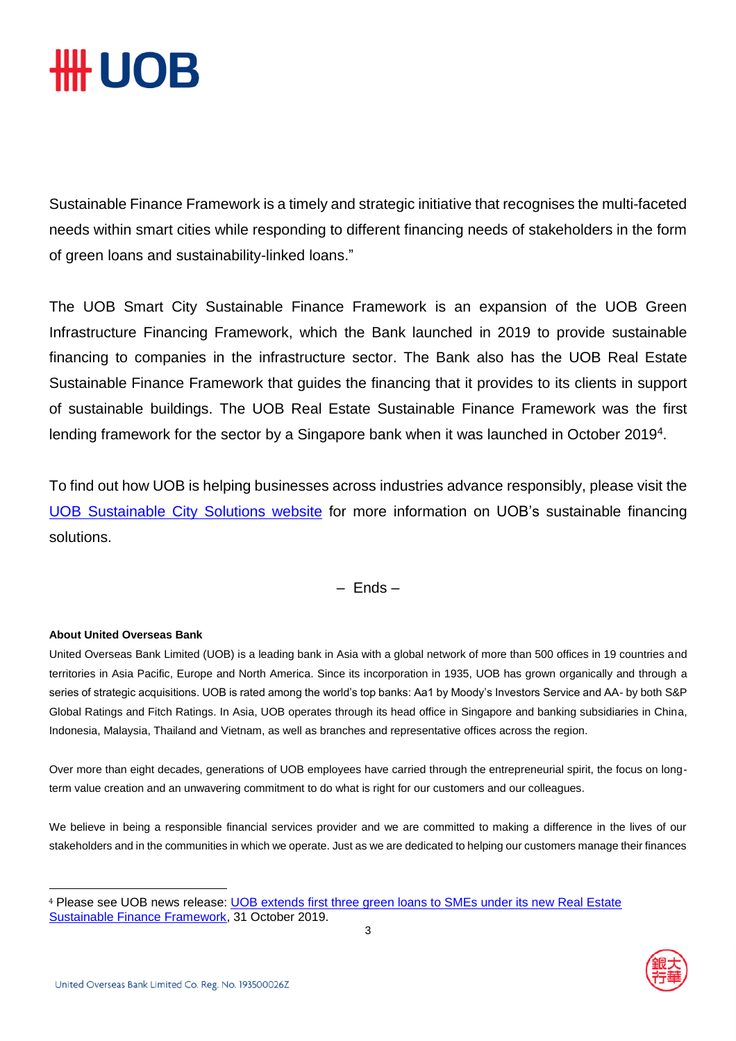# *HH UOB*

Sustainable Finance Framework is a timely and strategic initiative that recognises the multi-faceted needs within smart cities while responding to different financing needs of stakeholders in the form of green loans and sustainability-linked loans."

The UOB Smart City Sustainable Finance Framework is an expansion of the UOB Green Infrastructure Financing Framework, which the Bank launched in 2019 to provide sustainable financing to companies in the infrastructure sector. The Bank also has the UOB Real Estate Sustainable Finance Framework that guides the financing that it provides to its clients in support of sustainable buildings. The UOB Real Estate Sustainable Finance Framework was the first lending framework for the sector by a Singapore bank when it was launched in October 2019<sup>4</sup>.

To find out how UOB is helping businesses across industries advance responsibly, please visit the UOB [Sustainable](http://www.uobgroup.com/sustainable-city) City Solutions website for more information on UOB's sustainable financing solutions.

### – Ends –

#### **About United Overseas Bank**

<u>.</u>

United Overseas Bank Limited (UOB) is a leading bank in Asia with a global network of more than 500 offices in 19 countries and territories in Asia Pacific, Europe and North America. Since its incorporation in 1935, UOB has grown organically and through a series of strategic acquisitions. UOB is rated among the world's top banks: Aa1 by Moody's Investors Service and AA- by both S&P Global Ratings and Fitch Ratings. In Asia, UOB operates through its head office in Singapore and banking subsidiaries in China, Indonesia, Malaysia, Thailand and Vietnam, as well as branches and representative offices across the region.

Over more than eight decades, generations of UOB employees have carried through the entrepreneurial spirit, the focus on longterm value creation and an unwavering commitment to do what is right for our customers and our colleagues.

We believe in being a responsible financial services provider and we are committed to making a difference in the lives of our stakeholders and in the communities in which we operate. Just as we are dedicated to helping our customers manage their finances

<sup>4</sup> Please see UOB news release: [UOB extends first three green loans to SMEs under its new Real Estate](https://www.uobgroup.com/web-resources/uobgroup/pdf/newsroom/2019/UOB-Real-Estate-Sustainable-Finance-Framework.pdf)  [Sustainable Finance Framework,](https://www.uobgroup.com/web-resources/uobgroup/pdf/newsroom/2019/UOB-Real-Estate-Sustainable-Finance-Framework.pdf) 31 October 2019.